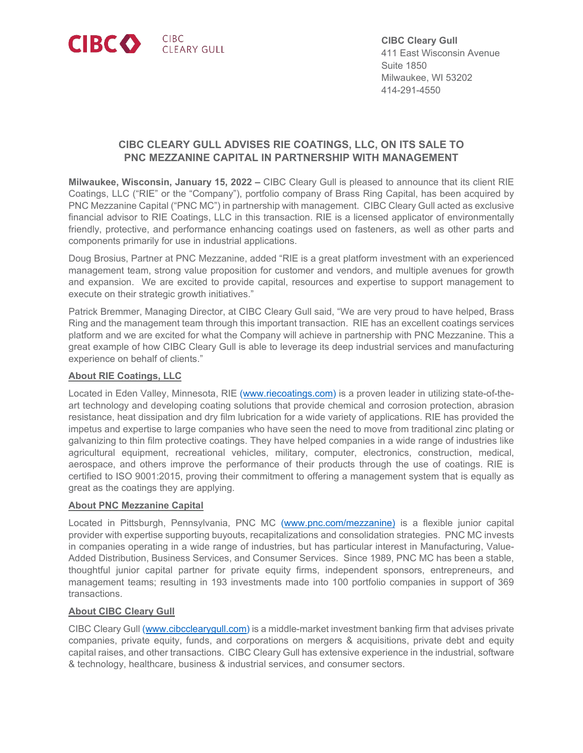

**CIBC Cleary Gull** 411 East Wisconsin Avenue Suite 1850 Milwaukee, WI 53202 414-291-4550

# **CIBC CLEARY GULL ADVISES RIE COATINGS, LLC, ON ITS SALE TO PNC MEZZANINE CAPITAL IN PARTNERSHIP WITH MANAGEMENT**

**Milwaukee, Wisconsin, January 15, 2022 –** CIBC Cleary Gull is pleased to announce that its client RIE Coatings, LLC ("RIE" or the "Company"), portfolio company of Brass Ring Capital, has been acquired by PNC Mezzanine Capital ("PNC MC") in partnership with management. CIBC Cleary Gull acted as exclusive financial advisor to RIE Coatings, LLC in this transaction. RIE is a licensed applicator of environmentally friendly, protective, and performance enhancing coatings used on fasteners, as well as other parts and components primarily for use in industrial applications.

Doug Brosius, Partner at PNC Mezzanine, added "RIE is a great platform investment with an experienced management team, strong value proposition for customer and vendors, and multiple avenues for growth and expansion. We are excited to provide capital, resources and expertise to support management to execute on their strategic growth initiatives."

Patrick Bremmer, Managing Director, at CIBC Cleary Gull said, "We are very proud to have helped, Brass Ring and the management team through this important transaction. RIE has an excellent coatings services platform and we are excited for what the Company will achieve in partnership with PNC Mezzanine. This a great example of how CIBC Cleary Gull is able to leverage its deep industrial services and manufacturing experience on behalf of clients."

#### **About RIE Coatings, LLC**

Located in Eden Valley, Minnesota, RIE [\(www.riecoatings.com\)](http://www.riecoatings.com/) is a proven leader in utilizing state-of-theart technology and developing coating solutions that provide chemical and corrosion protection, abrasion resistance, heat dissipation and dry film lubrication for a wide variety of applications. RIE has provided the impetus and expertise to large companies who have seen the need to move from traditional zinc plating or galvanizing to thin film protective coatings. They have helped companies in a wide range of industries like agricultural equipment, recreational vehicles, military, computer, electronics, construction, medical, aerospace, and others improve the performance of their products through the use of coatings. RIE is certified to ISO 9001:2015, proving their commitment to offering a management system that is equally as great as the coatings they are applying.

#### **About PNC Mezzanine Capital**

Located in Pittsburgh, Pennsylvania, PNC MC [\(www.pnc.com/mezzanine\)](http://www.pnc.com/mezzanine) is a flexible junior capital provider with expertise supporting buyouts, recapitalizations and consolidation strategies. PNC MC invests in companies operating in a wide range of industries, but has particular interest in Manufacturing, Value-Added Distribution, Business Services, and Consumer Services. Since 1989, PNC MC has been a stable, thoughtful junior capital partner for private equity firms, independent sponsors, entrepreneurs, and management teams; resulting in 193 investments made into 100 portfolio companies in support of 369 transactions.

## **About CIBC Cleary Gull**

CIBC Cleary Gull [\(www.cibcclearygull.com\)](http://www.cibcclearygull.com/) is a middle-market investment banking firm that advises private companies, private equity, funds, and corporations on mergers & acquisitions, private debt and equity capital raises, and other transactions. CIBC Cleary Gull has extensive experience in the industrial, software & technology, healthcare, business & industrial services, and consumer sectors.